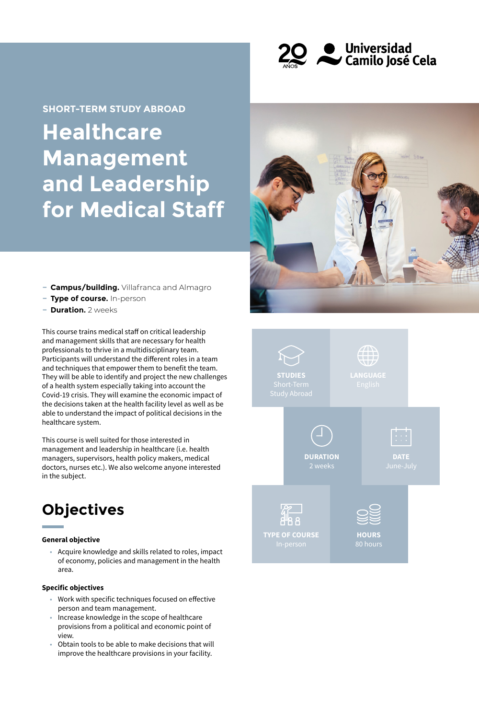

# **Healthcare Management and Leadership for Medical Staff SHORT-TERM STUDY ABROAD**

- **− Campus/building.** Villafranca and Almagro
- **− Type of course.** In-person
- **− Duration.** 2 weeks

This course trains medical staff on critical leadership and management skills that are necessary for health professionals to thrive in a multidisciplinary team. Participants will understand the different roles in a team and techniques that empower them to benefit the team. They will be able to identify and project the new challenges of a health system especially taking into account the Covid-19 crisis. They will examine the economic impact of the decisions taken at the health facility level as well as be able to understand the impact of political decisions in the healthcare system.

This course is well suited for those interested in management and leadership in healthcare (i.e. health managers, supervisors, health policy makers, medical doctors, nurses etc.). We also welcome anyone interested in the subject.

# **Objectives**

#### **General objective**

• Acquire knowledge and skills related to roles, impact of economy, policies and management in the health area.

### **Specific objectives**

- Work with specific techniques focused on effective person and team management.
- Increase knowledge in the scope of healthcare provisions from a political and economic point of view.
- Obtain tools to be able to make decisions that will improve the healthcare provisions in your facility.